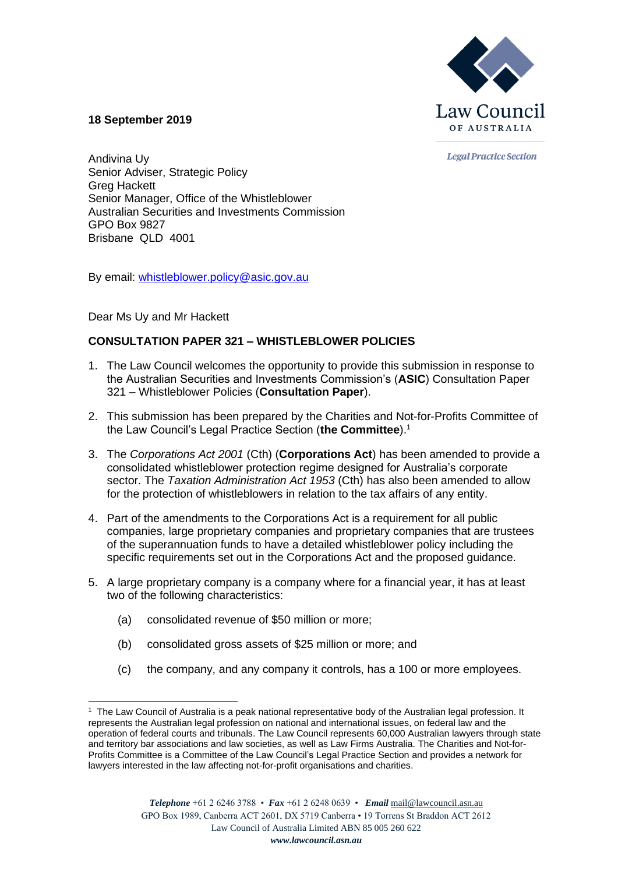

**18 September 2019**

**Legal Practice Section** 

Andivina Uy Senior Adviser, Strategic Policy Greg Hackett Senior Manager, Office of the Whistleblower Australian Securities and Investments Commission GPO Box 9827 Brisbane QLD 4001

By email: [whistleblower.policy@asic.gov.au](mailto:whistleblower.policy@asic.gov.au)

Dear Ms Uy and Mr Hackett

# **CONSULTATION PAPER 321 – WHISTLEBLOWER POLICIES**

- 1. The Law Council welcomes the opportunity to provide this submission in response to the Australian Securities and Investments Commission's (**ASIC**) Consultation Paper 321 – Whistleblower Policies (**Consultation Paper**).
- 2. This submission has been prepared by the Charities and Not-for-Profits Committee of the Law Council's Legal Practice Section (**the Committee**).<sup>1</sup>
- 3. The *Corporations Act 2001* (Cth) (**Corporations Act**) has been amended to provide a consolidated whistleblower protection regime designed for Australia's corporate sector. The *Taxation Administration Act 1953* (Cth) has also been amended to allow for the protection of whistleblowers in relation to the tax affairs of any entity.
- 4. Part of the amendments to the Corporations Act is a requirement for all public companies, large proprietary companies and proprietary companies that are trustees of the superannuation funds to have a detailed whistleblower policy including the specific requirements set out in the Corporations Act and the proposed guidance.
- 5. A large proprietary company is a company where for a financial year, it has at least two of the following characteristics:
	- (a) consolidated revenue of \$50 million or more;
	- (b) consolidated gross assets of \$25 million or more; and
	- (c) the company, and any company it controls, has a 100 or more employees.

<sup>1</sup> The Law Council of Australia is a peak national representative body of the Australian legal profession. It represents the Australian legal profession on national and international issues, on federal law and the operation of federal courts and tribunals. The Law Council represents 60,000 Australian lawyers through state and territory bar associations and law societies, as well as Law Firms Australia. The Charities and Not-for-Profits Committee is a Committee of the Law Council's Legal Practice Section and provides a network for lawyers interested in the law affecting not-for-profit organisations and charities.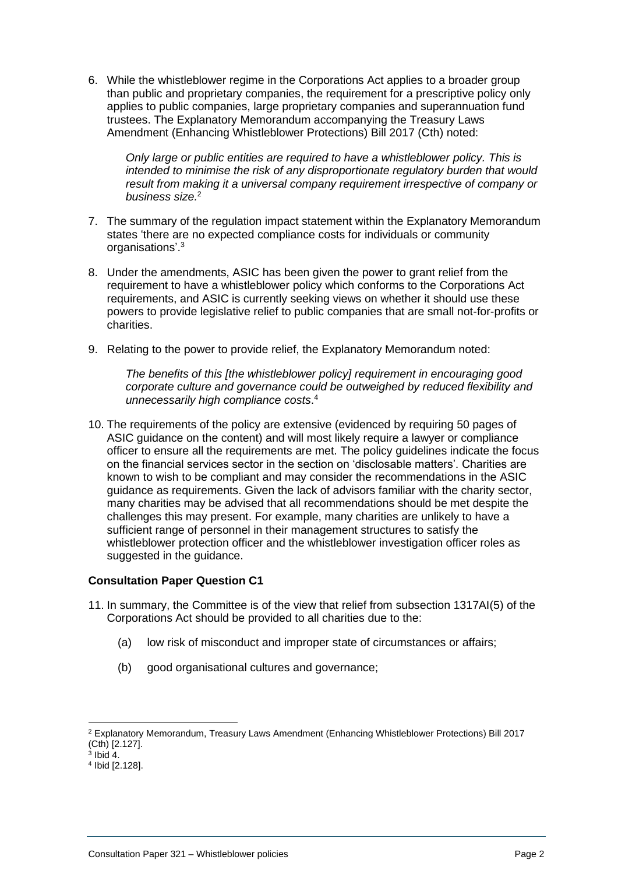6. While the whistleblower regime in the Corporations Act applies to a broader group than public and proprietary companies, the requirement for a prescriptive policy only applies to public companies, large proprietary companies and superannuation fund trustees. The Explanatory Memorandum accompanying the Treasury Laws Amendment (Enhancing Whistleblower Protections) Bill 2017 (Cth) noted:

*Only large or public entities are required to have a whistleblower policy. This is intended to minimise the risk of any disproportionate regulatory burden that would result from making it a universal company requirement irrespective of company or business size.*<sup>2</sup>

- 7. The summary of the regulation impact statement within the Explanatory Memorandum states 'there are no expected compliance costs for individuals or community organisations'.<sup>3</sup>
- 8. Under the amendments, ASIC has been given the power to grant relief from the requirement to have a whistleblower policy which conforms to the Corporations Act requirements, and ASIC is currently seeking views on whether it should use these powers to provide legislative relief to public companies that are small not-for-profits or charities.
- 9. Relating to the power to provide relief, the Explanatory Memorandum noted:

*The benefits of this [the whistleblower policy] requirement in encouraging good corporate culture and governance could be outweighed by reduced flexibility and unnecessarily high compliance costs*. 4

10. The requirements of the policy are extensive (evidenced by requiring 50 pages of ASIC guidance on the content) and will most likely require a lawyer or compliance officer to ensure all the requirements are met. The policy guidelines indicate the focus on the financial services sector in the section on 'disclosable matters'. Charities are known to wish to be compliant and may consider the recommendations in the ASIC guidance as requirements. Given the lack of advisors familiar with the charity sector, many charities may be advised that all recommendations should be met despite the challenges this may present. For example, many charities are unlikely to have a sufficient range of personnel in their management structures to satisfy the whistleblower protection officer and the whistleblower investigation officer roles as suggested in the guidance.

# **Consultation Paper Question C1**

- 11. In summary, the Committee is of the view that relief from subsection 1317AI(5) of the Corporations Act should be provided to all charities due to the:
	- (a) low risk of misconduct and improper state of circumstances or affairs;
	- (b) good organisational cultures and governance;

<sup>2</sup> Explanatory Memorandum, Treasury Laws Amendment (Enhancing Whistleblower Protections) Bill 2017 (Cth) [2.127]. 3 Ibid 4.

<sup>4</sup> Ibid [2.128].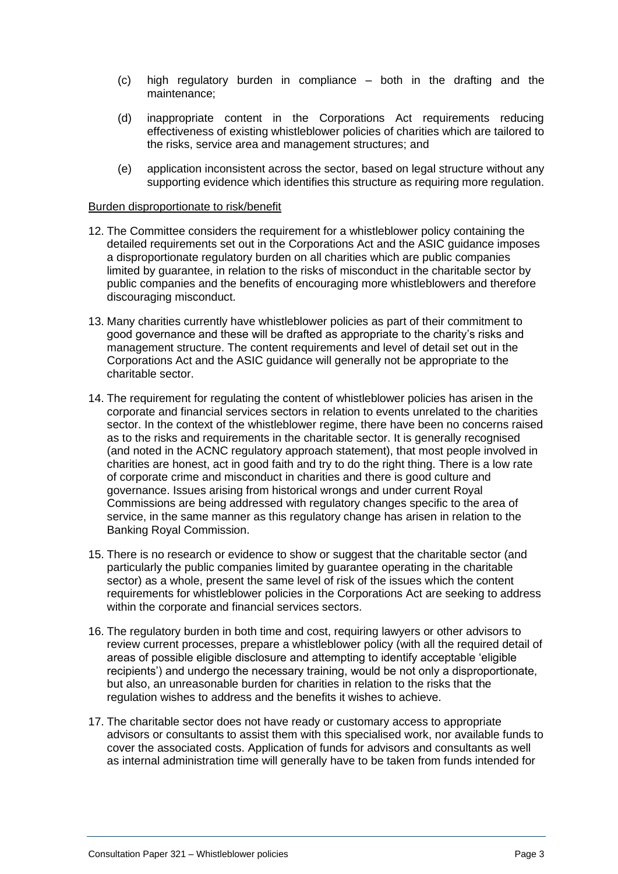- (c) high regulatory burden in compliance both in the drafting and the maintenance;
- (d) inappropriate content in the Corporations Act requirements reducing effectiveness of existing whistleblower policies of charities which are tailored to the risks, service area and management structures; and
- (e) application inconsistent across the sector, based on legal structure without any supporting evidence which identifies this structure as requiring more regulation.

#### Burden disproportionate to risk/benefit

- 12. The Committee considers the requirement for a whistleblower policy containing the detailed requirements set out in the Corporations Act and the ASIC guidance imposes a disproportionate regulatory burden on all charities which are public companies limited by guarantee, in relation to the risks of misconduct in the charitable sector by public companies and the benefits of encouraging more whistleblowers and therefore discouraging misconduct.
- 13. Many charities currently have whistleblower policies as part of their commitment to good governance and these will be drafted as appropriate to the charity's risks and management structure. The content requirements and level of detail set out in the Corporations Act and the ASIC guidance will generally not be appropriate to the charitable sector.
- 14. The requirement for regulating the content of whistleblower policies has arisen in the corporate and financial services sectors in relation to events unrelated to the charities sector. In the context of the whistleblower regime, there have been no concerns raised as to the risks and requirements in the charitable sector. It is generally recognised (and noted in the ACNC regulatory approach statement), that most people involved in charities are honest, act in good faith and try to do the right thing. There is a low rate of corporate crime and misconduct in charities and there is good culture and governance. Issues arising from historical wrongs and under current Royal Commissions are being addressed with regulatory changes specific to the area of service, in the same manner as this regulatory change has arisen in relation to the Banking Royal Commission.
- 15. There is no research or evidence to show or suggest that the charitable sector (and particularly the public companies limited by guarantee operating in the charitable sector) as a whole, present the same level of risk of the issues which the content requirements for whistleblower policies in the Corporations Act are seeking to address within the corporate and financial services sectors.
- 16. The regulatory burden in both time and cost, requiring lawyers or other advisors to review current processes, prepare a whistleblower policy (with all the required detail of areas of possible eligible disclosure and attempting to identify acceptable 'eligible recipients') and undergo the necessary training, would be not only a disproportionate, but also, an unreasonable burden for charities in relation to the risks that the regulation wishes to address and the benefits it wishes to achieve.
- 17. The charitable sector does not have ready or customary access to appropriate advisors or consultants to assist them with this specialised work, nor available funds to cover the associated costs. Application of funds for advisors and consultants as well as internal administration time will generally have to be taken from funds intended for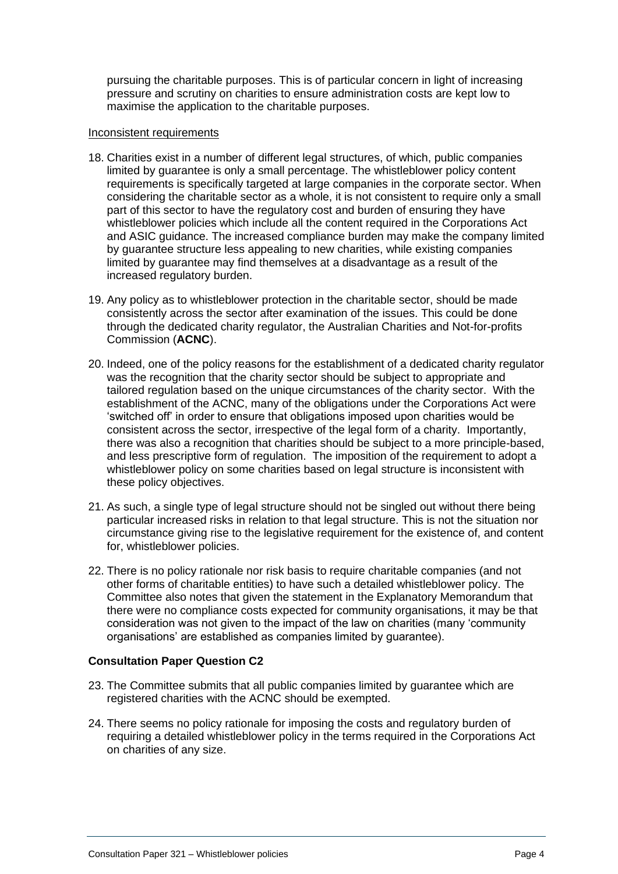pursuing the charitable purposes. This is of particular concern in light of increasing pressure and scrutiny on charities to ensure administration costs are kept low to maximise the application to the charitable purposes.

### Inconsistent requirements

- 18. Charities exist in a number of different legal structures, of which, public companies limited by guarantee is only a small percentage. The whistleblower policy content requirements is specifically targeted at large companies in the corporate sector. When considering the charitable sector as a whole, it is not consistent to require only a small part of this sector to have the regulatory cost and burden of ensuring they have whistleblower policies which include all the content required in the Corporations Act and ASIC guidance. The increased compliance burden may make the company limited by guarantee structure less appealing to new charities, while existing companies limited by guarantee may find themselves at a disadvantage as a result of the increased regulatory burden.
- 19. Any policy as to whistleblower protection in the charitable sector, should be made consistently across the sector after examination of the issues. This could be done through the dedicated charity regulator, the Australian Charities and Not-for-profits Commission (**ACNC**).
- 20. Indeed, one of the policy reasons for the establishment of a dedicated charity regulator was the recognition that the charity sector should be subject to appropriate and tailored regulation based on the unique circumstances of the charity sector. With the establishment of the ACNC, many of the obligations under the Corporations Act were 'switched off' in order to ensure that obligations imposed upon charities would be consistent across the sector, irrespective of the legal form of a charity. Importantly, there was also a recognition that charities should be subject to a more principle-based, and less prescriptive form of regulation. The imposition of the requirement to adopt a whistleblower policy on some charities based on legal structure is inconsistent with these policy objectives.
- 21. As such, a single type of legal structure should not be singled out without there being particular increased risks in relation to that legal structure. This is not the situation nor circumstance giving rise to the legislative requirement for the existence of, and content for, whistleblower policies.
- 22. There is no policy rationale nor risk basis to require charitable companies (and not other forms of charitable entities) to have such a detailed whistleblower policy. The Committee also notes that given the statement in the Explanatory Memorandum that there were no compliance costs expected for community organisations, it may be that consideration was not given to the impact of the law on charities (many 'community organisations' are established as companies limited by guarantee).

# **Consultation Paper Question C2**

- 23. The Committee submits that all public companies limited by guarantee which are registered charities with the ACNC should be exempted.
- 24. There seems no policy rationale for imposing the costs and regulatory burden of requiring a detailed whistleblower policy in the terms required in the Corporations Act on charities of any size.